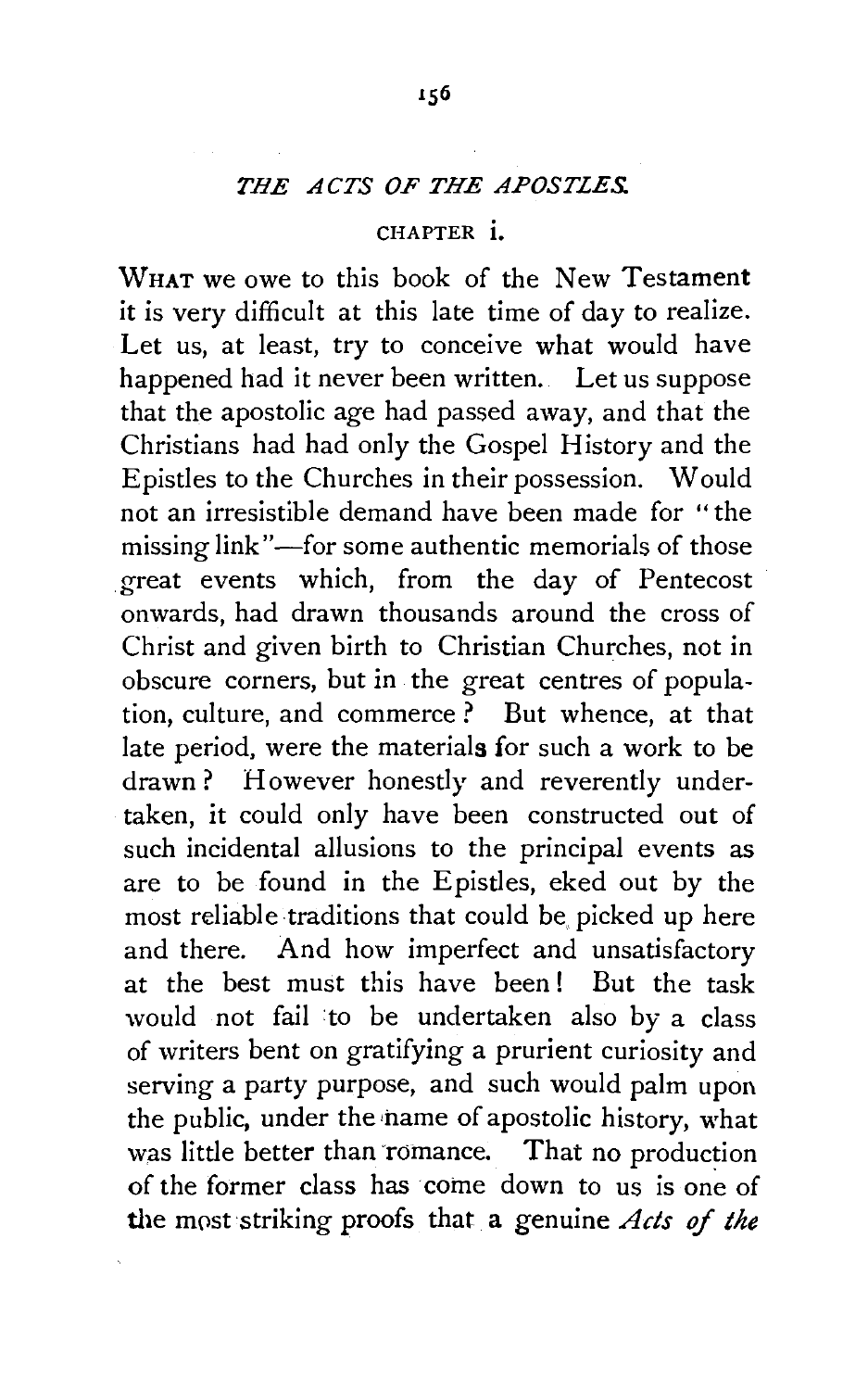## *THE ACTS OF THE APOSTLES.*

## CHAPTER i.

WHAT we owe to this book of the New Testament it is very difficult at this late time of day to realize. Let us, at least, try to conceive what would have happened had it never been written. Let us suppose that the apostolic age had passed away, and that the Christians had had only the Gospel History and the Epistles to the Churches in their possession. Would not an irresistible demand have been made for "the missing link"-for some authentic memorials of those great events which, from the day of Pentecost onwards, had drawn thousands around the cross of Christ and given birth to Christian Churches, not in obscure corners, but in the great centres of population, culture, and commerce ? But whence, at that late period, were the materials for such a work to be drawn? However honestly and reverently undertaken, it could only have been constructed out of such incidental allusions to the principal events as are to be found in the Epistles, eked out by the most reliable traditions that could be picked up here and there. And how imperfect and unsatisfactory at the best must this have been! But the task would not fail to be undertaken also by a class of writers bent on gratifying a prurient curiosity and serving a party purpose, and such would palm upon the public, under the name of apostolic history, what was little better than romance. That no production of the former class has come down to us is one of the mpst striking proofs that a genuine *Acts* of *the*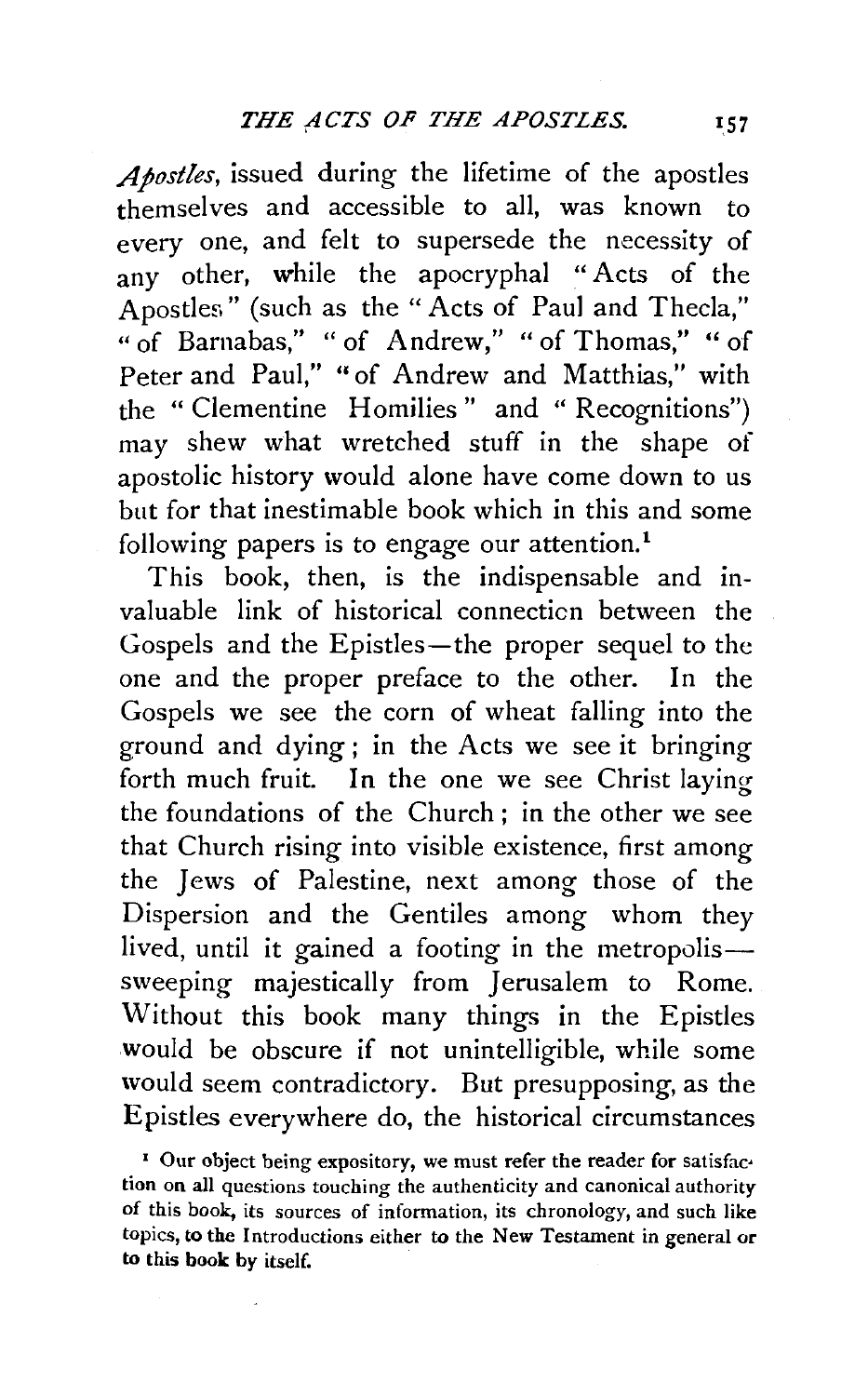*Apostles,* issued during the lifetime of the apostles themselves and accessible to all, was known to every one, and felt to supersede the necessity of any other, while the apocryphal "Acts of the Apostles" (such as the "Acts of Paul and Thecla," "of Barnabas," "of Andrew," "of Thomas," "of Peter and Paul," "of Andrew and Matthias," with the "Clementine Homilies" and " Recognitions") may shew what wretched stuff in the shape of apostolic history would alone have come down to us but for that inestimable book which in this and some following papers is to engage our attention.<sup>1</sup>

This book, then, is the indispensable and invaluable link of historical connecticn between the Gospels and the Epistles-the proper sequel to the one and the proper preface to the other. In the Gospels we see the corn of wheat falling into the ground and dying; in the Acts we see it bringing forth much fruit. In the one we see Christ laying the foundations of the Church ; in the other we see that Church rising into visible existence, first among the Jews of Palestine, next among those of the Dispersion and the Gentiles among whom they lived, until it gained a footing in the metropolissweeping majestically from Jerusalem to Rome. Without this book many things in the Epistles would be obscure if not unintelligible, while some would seem contradictory. But presupposing, as the Epistles everywhere do, the historical circumstances

<sup>1</sup> Our object being expository, we must refer the reader for satisfaction on all questions touching the authenticity and canonical authority of this book, its sources of information, its chronology, and such like topics, to the Introductions either to the New Testament in general or to this book by itself.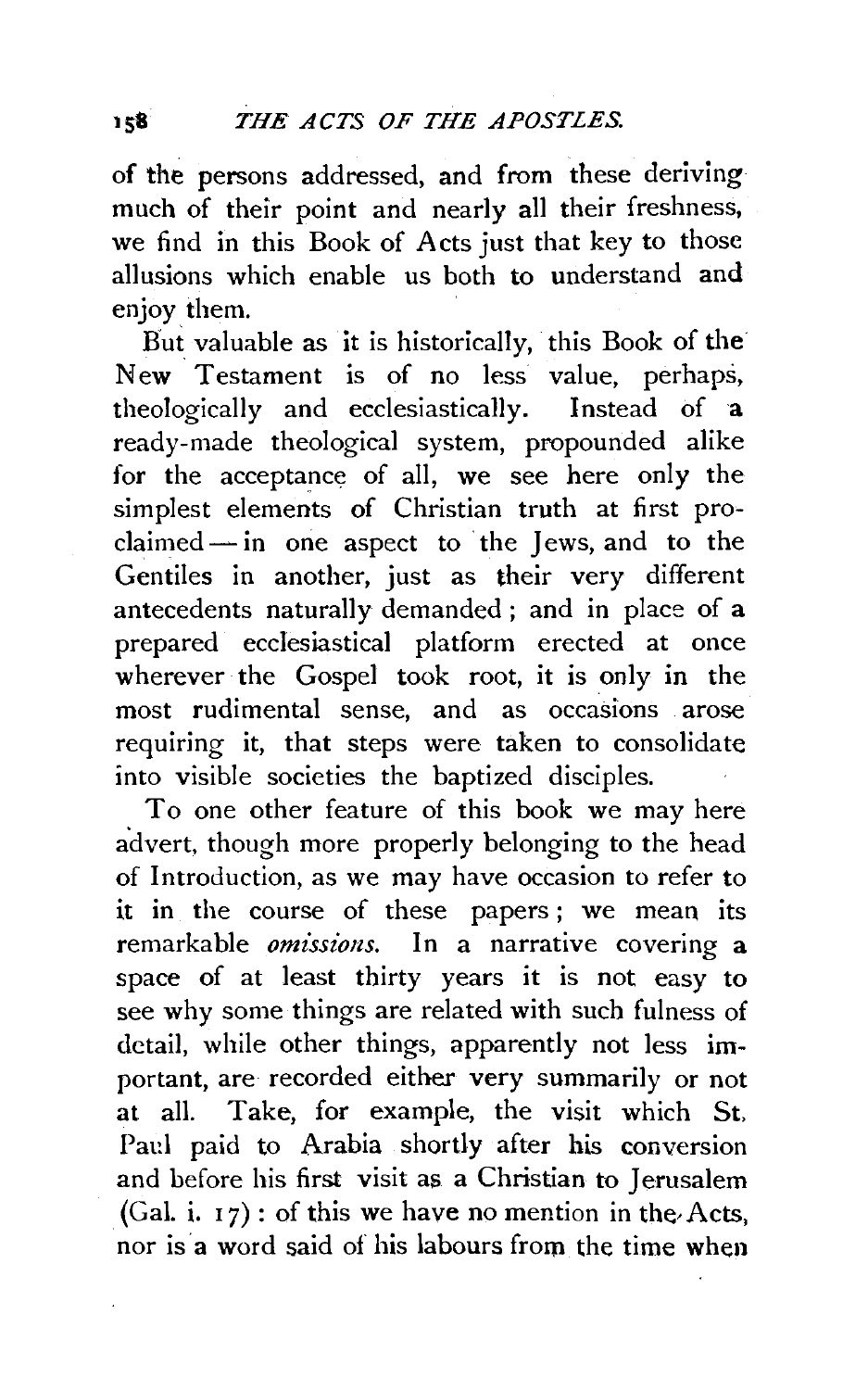of the persons addressed, and from these deriving much of their point and nearly all their freshness, we find in this Book of Acts just that key to those allusions which enable us both to understand and enjoy them.

But valuable as it is historically, this Book of the New Testament is of no less value, perhaps, theologically and ecclesiastically. Instead of a ready-made theological system, propounded alike for the acceptance of all, we see here only the simplest elements of Christian truth at first proclaimed - in one aspect to the Jews, and to the Gentiles in another, just as their very different antecedents naturally demanded ; and in place of a prepared ecclesiastical platform erected at once wherever the Gospel took root, it is only in the most rudimental sense, and as occasions arose requiring it, that steps were taken to consolidate into visible societies the baptized disciples.

To one other feature of this book we may here a'dvert. though more properly belonging to the head of Introduction, as we may have occasion to refer to it in the course of these papers ; we mean its remarkable *omissions.* In a narrative covering a space of at least thirty years it is not easy to see why some things are related with such fulness of detail, while other things, apparently not less important, are recorded either very summarily or not at all. Take, for example, the visit which St, Paul paid to Arabia shortly after his conversion and before his first visit as a Christian to Jerusalem (Gal. i.  $17$ ) : of this we have no mention in the Acts, nor is a word said of his labours from the time when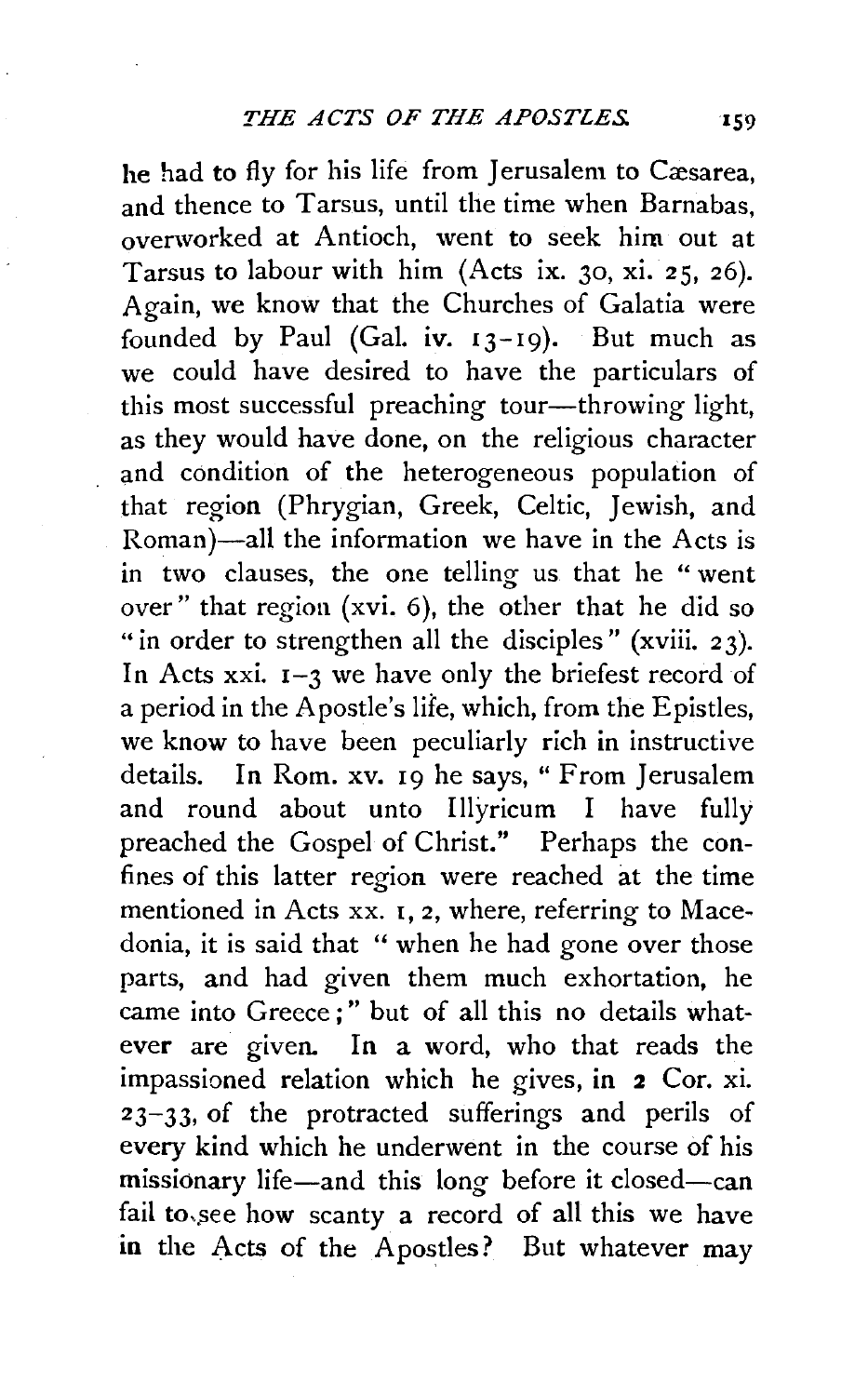he had to fly for his life from Jerusalem to Cæsarea, and thence to Tarsus, until the time when Barnabas, overworked at Antioch, went to seek him out at Tarsus to labour with him (Acts ix. 30, xi. 25, 26). Again, we know that the Churches of Galatia were founded by Paul (Gal. iv.  $13-19$ ). But much as we could have desired to have the particulars of this most successful preaching tour-throwing light, as they would have done, on the religious character and condition of the heterogeneous population of that region (Phrygian, Greek, Celtic, Jewish, and Roman)—all the information we have in the Acts is in two clauses, the one telling us that he " went over" that region (xvi. 6), the other that he did so "in order to strengthen all the disciples" (xviii. 23). In Acts xxi.  $I-3$  we have only the briefest record of a period in the Apostle's lite, which, from the Epistles, we know to have been peculiarly rich in instructive details. In Rom. xv. 19 he says, "From Jerusalem and round about unto Illyricum I have fully preached the Gospel of Christ." Perhaps the confines of this latter region were reached at the time mentioned in Acts xx. 1, 2, where, referring to Macedonia, it is said that '' when he had gone over those parts, and had given them much exhortation, he came into Greece;" but of all this no details whatever are given. In a word, who that reads the impassioned relation which he gives, in 2 Cor. xi. 23-33, of the protracted sufferings and perils of every kind which he underwent in the course of his missionary life-and this long before it closed-can fail to, see how scanty a record of all this we have in the Acts of the Apostles? But whatever may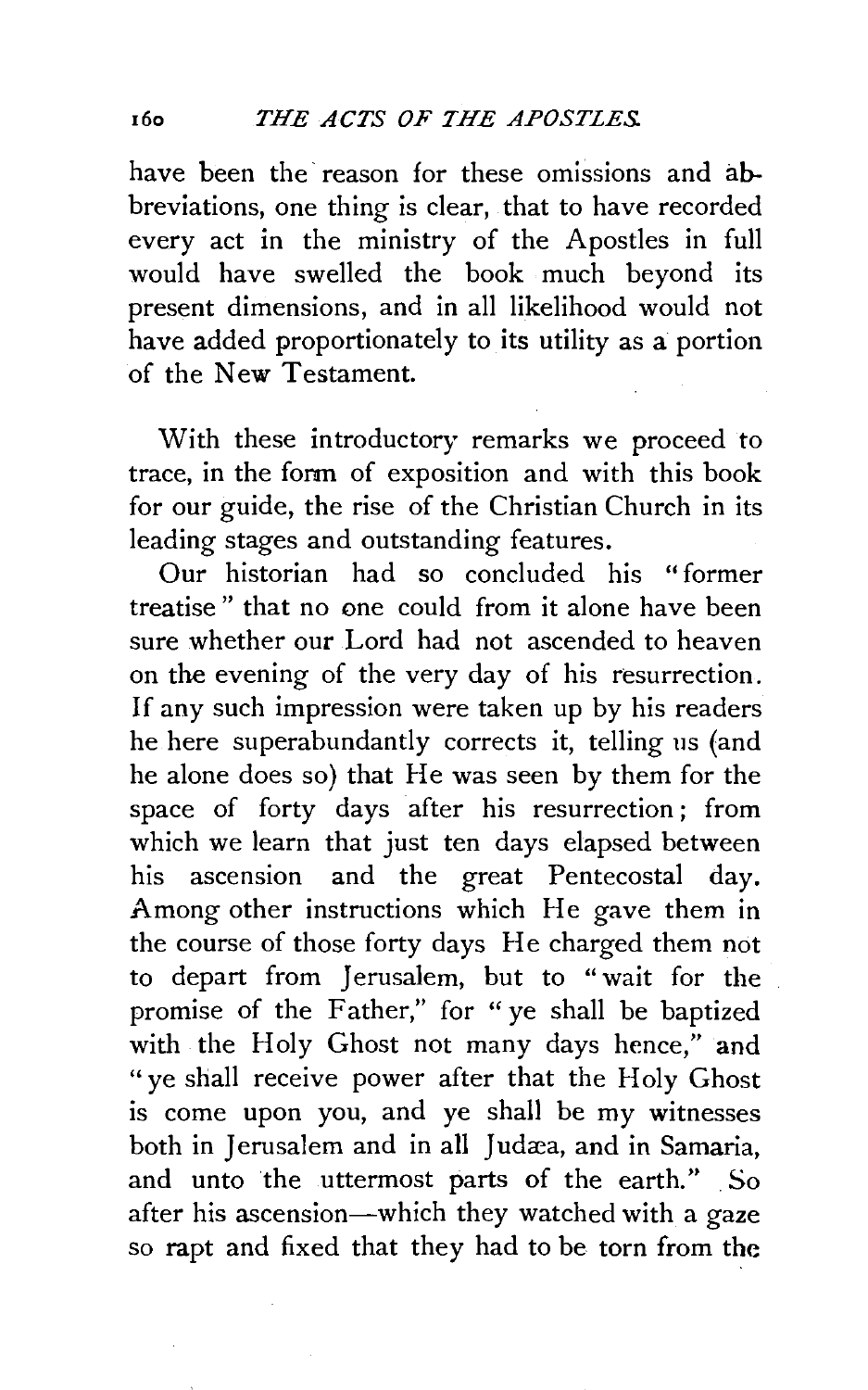have been the reason for these omissions and abbreviations, one thing is clear, that to have recorded every act in the ministry of the Apostles in full would have swelled the book much beyond its present dimensions, and in all likelihood would not have added proportionately to its utility as a portion of the New Testament.

With these introductory remarks we proceed to trace, in the form of exposition and with this book for our guide, the rise of the Christian Church in its leading stages and outstanding features.

Our historian had so concluded his "former treatise" that no one could from it alone have been sure whether our Lord had not ascended to heaven on the evening of the very day of his resurrection. If any such impression were taken up by his readers he here superabundantly corrects it, telling us (and he alone does so) that He was seen by them for the space of forty days after his resurrection; from which we learn that just ten days elapsed between his ascension and the great Pentecostal day. Among other instructions which He gave them in the course of those forty days He charged them not to depart from Jerusalem, but to "wait for the promise of the Father," for "ye shall be baptized with the Holy Ghost not many days hence," and "ye shall receive power after that the Holy Ghost is come upon you, and ye shall be my witnesses both in Jerusalem and in all Judæa, and in Samaria, and unto the uttermost parts of the earth." So after his ascension—which they watched with a gaze so rapt and fixed that they had to be torn from the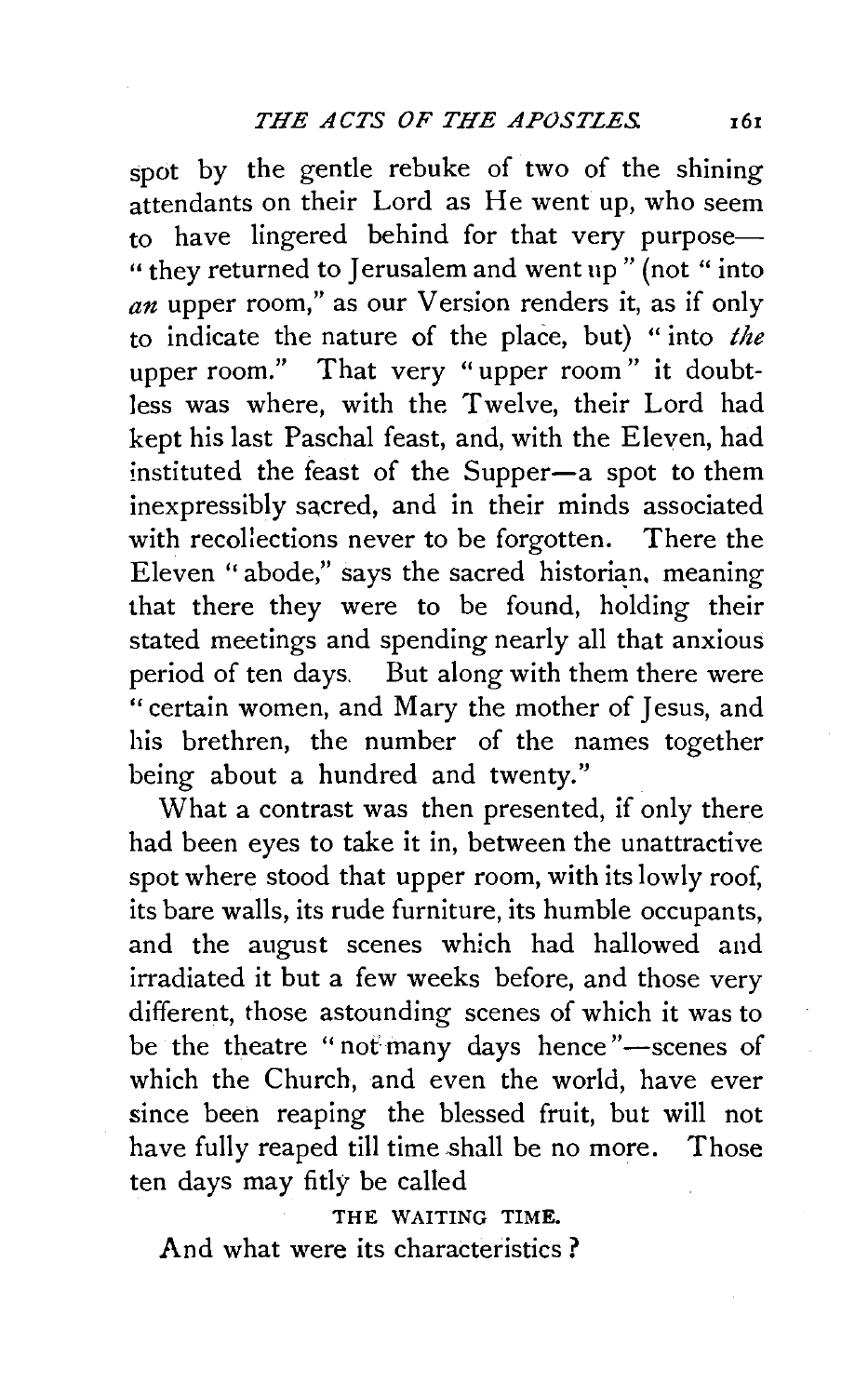spot by the gentle rebuke of two of the shining attendants on their Lord as He went up, who seem to have lingered behind for that very purpose— " they returned to Jerusalem and went up" (not "into *an* upper room," as our Version renders it, as if only to indicate the nature of the place, but) " into *the*  upper room." That very "upper room" it doubtless was where, with the Twelve, their Lord had kept his last Paschal feast, and, with the Eleven, had instituted the feast of the Supper-a spot to them inexpressibly sacred, and in their minds associated with recollections never to be forgotten. There the Eleven "abode," says the sacred historian, meaning that there they were to be found, holding their stated meetings and spending nearly all that anxious period of ten days. But along with them there were "certain women, and Mary the mother of Jesus, and his brethren, the number of the names together being about a hundred and twenty.''

What a contrast was then presented, if only there had been eyes to take it in, between the unattractive spot where stood that upper room, with its lowly roof, its bare walls, its rude furniture, its humble occupants, and the august scenes which had hallowed and irradiated it but a few weeks before, and those very different, those astounding scenes of which it was to be the theatre "not many days hence"-scenes of which the Church, and even the world, have ever since been reaping the blessed fruit, but will not have fully reaped till time shall be no more. Those ten days may fitly be called

THE WAITING TIME.

And what were its characteristics ?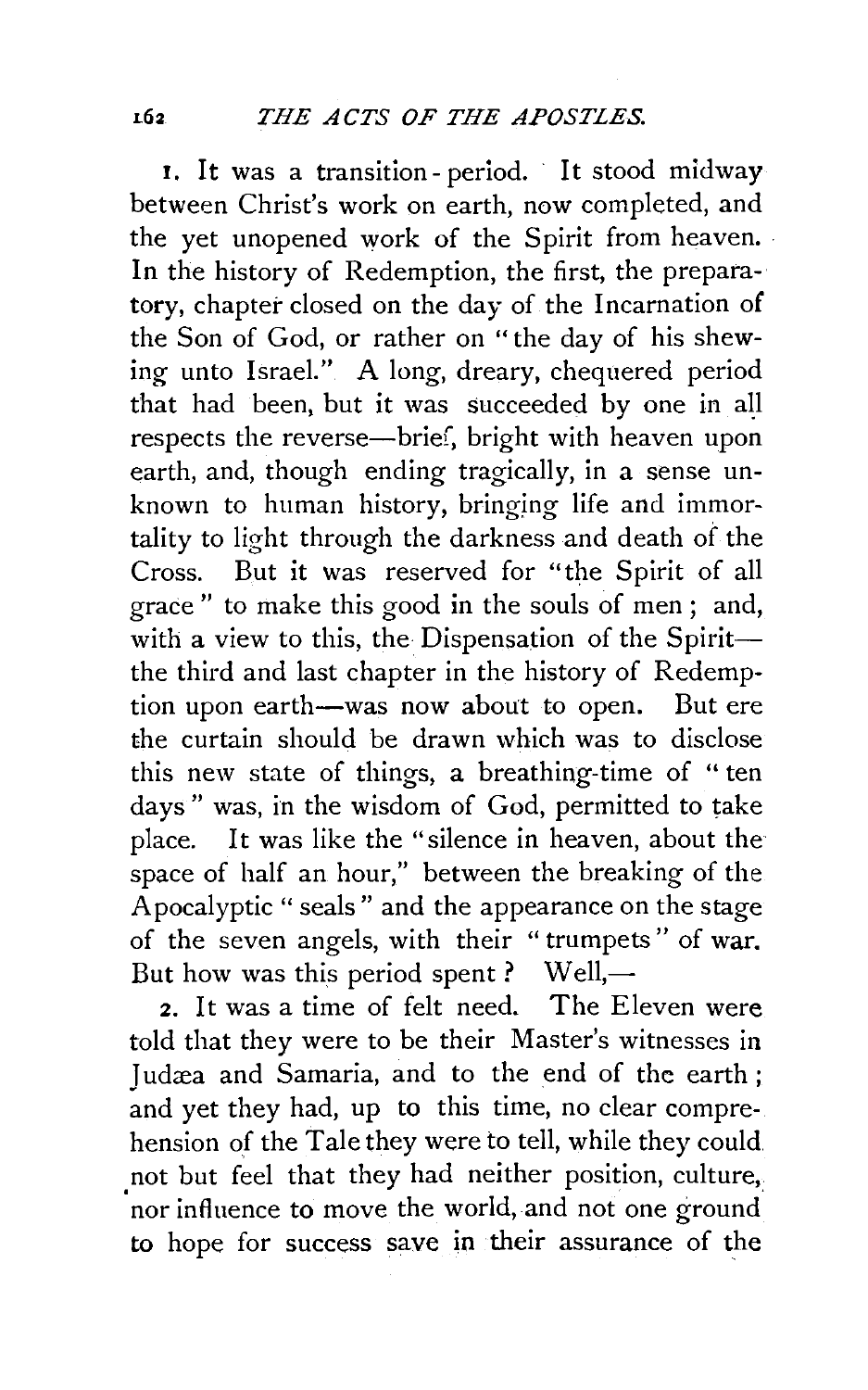I. It was a transition- period. It stood midway between Christ's work on earth, now completed, and the yet unopened work of the Spirit from heaven. · In the history of Redemption, the first, the preparatory, chapter closed on the day of the Incarnation of the Son of God, or rather on "the day of his shewing unto Israel." A long, dreary, chequered period that had been, but it was succeeded by one in all respects the reverse-brief, bright with heaven upon earth, and, though ending tragically, in a sense unknown to human history, bringing life and immortality to light through the darkness and death of the Cross. But it was reserved for "the Spirit of all grace " to make this good in the souls of men ; and, with a view to this, the Dispensation of the Spiritthe third and last chapter in the history of Redemption upon earth-was now about to open. But ere the curtain should be drawn which was to disclose this new state of things, a breathing-time of "ten days" was, in the wisdom of God, permitted to take place. It was like the "silence in heaven, about the space of half an hour," between the breaking of the Apocalyptic" seals" and the appearance on the stage of the seven angels, with their "trumpets" of war. But how was this period spent ? Well,—

2. It was a time of felt need. The Eleven were told that they were to be their Master's witnesses in Judæa and Samaria, and to the end of the earth; and yet they had, up to this time, no clear comprehension of the Tale they were to tell, while they could not but feel that they had neither position, culture, 'nor influence to move the world, and not one ground to hope for success save in their assurance of the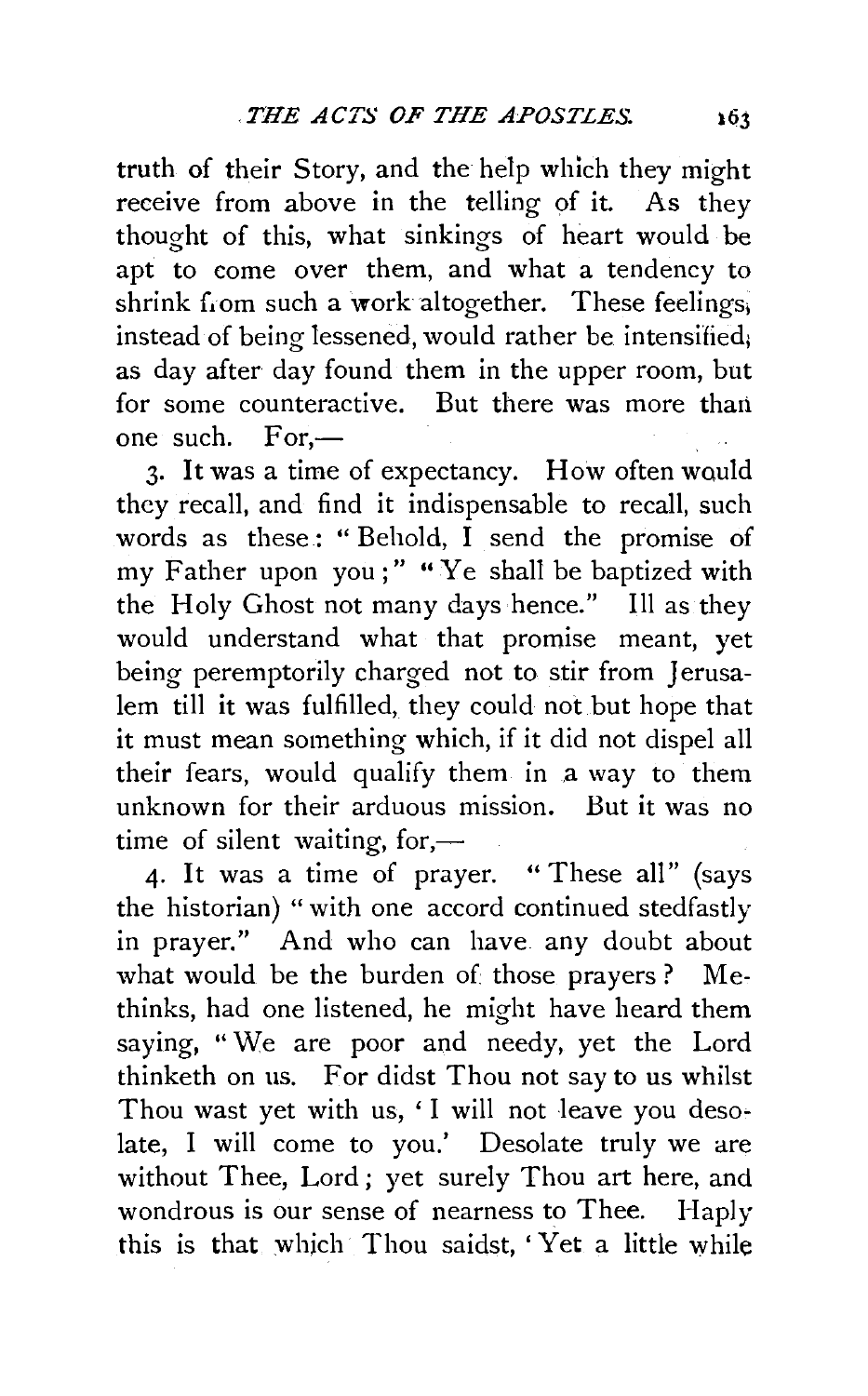truth of their Story, and the help which they might receive from above in the telling of it. As they thought of this, what sinkings of heart would be apt to come over them, and what a tendency to shrink from such a work altogether. These feelings, instead of being lessened, would rather be intensified; as day after day found them in the upper room, but for some counteractive. But there was more than one such.  $For -$ 

3. It was a time of expectancy. How often would they recall, and find it indispensable to recall, such words as these: "Behold,  $\overline{I}$  send the promise of my Father upon you;" "Ye shall be baptized with the Holy Ghost not many days hence." Ill as they would understand what that promise meant, yet being peremptorily charged not to stir from Jerusalem till it was fulfilled, they could not but hope that it must mean something which, if it did not dispel all their fears, would qualify them in a way to them unknown for their arduous mission. But it was no time of silent waiting, for,—

4· It was a time of prayer. " These all" (says the historian) "with one accord continued stedfastly in prayer." And who can have any doubt about what would be the burden of those prayers? Methinks, had one listened, he might have heard them saying, "We are poor and needy, yet the Lord thinketh on us. For didst Thou not say to us whilst Thou wast yet with us, 'I will not leave you desolate, I will come to you.' Desolate truly we are without Thee, Lord ; yet surely Thou art here, and wondrous is our sense of nearness to Thee. Haply this is that which Thou saidst, 'Yet a little while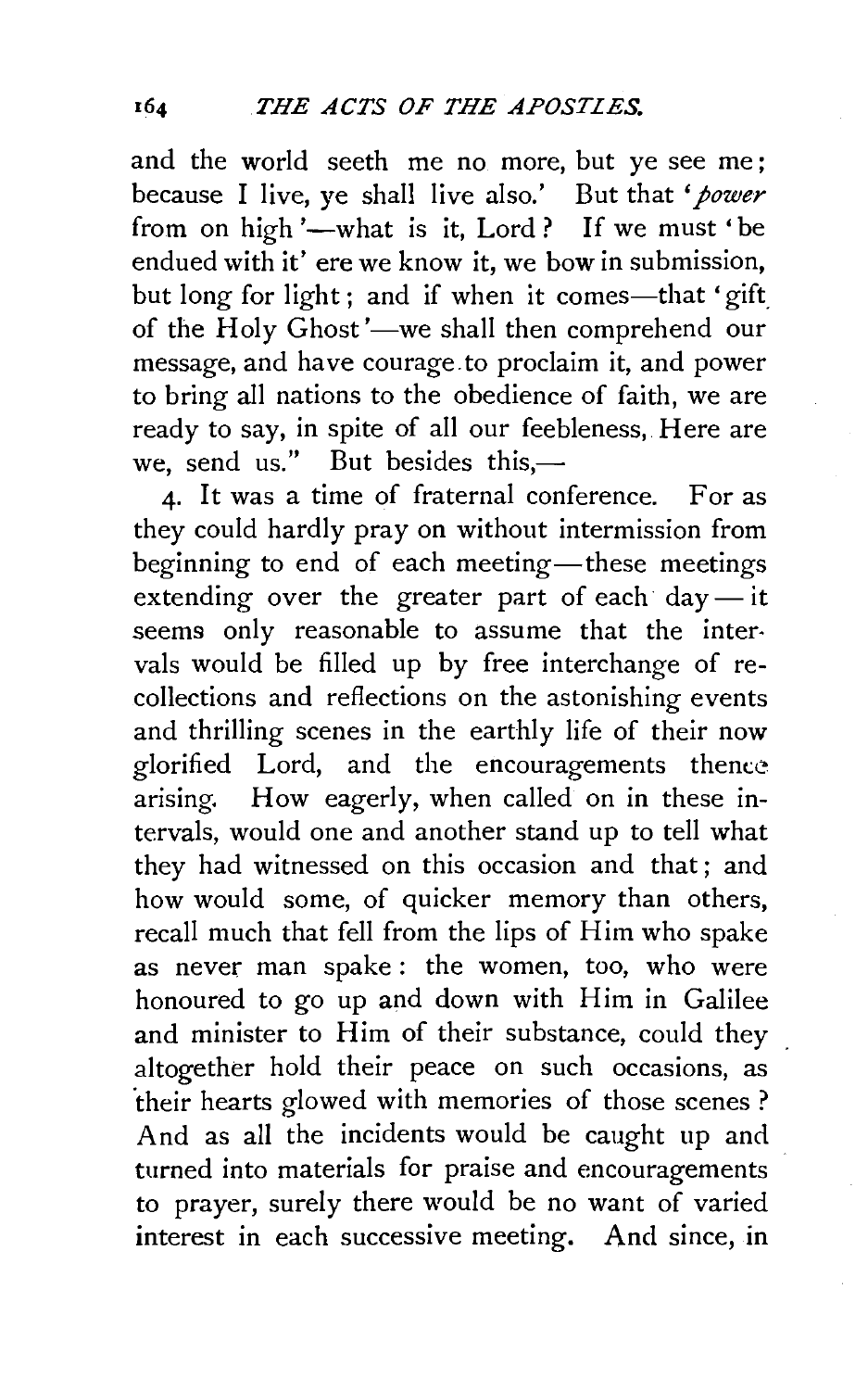and the world seeth me no more, but ye see me ; because I live, ye shall live also.' But that *'power*  from on high '-what is it, Lord ? If we must 'be endued with it' ere we know it, we bow in submission, but long for light ; and if when it comes—that 'gift of the Holy Ghost'—we shall then comprehend our message, and have courage. to proclaim it, and power to bring all nations to the obedience of faith, we are ready to say, in spite of all our feebleness, Here are we, send us." But besides this, $-$ 

4· It was a time of fraternal conference. For as they could hardly pray on without intermission from beginning to end of each meeting—these meetings extending over the greater part of each day-it seems only reasonable to assume that the inter· vals would be filled up by free interchange of recollections and reflections on the astonishing events and thrilling scenes in the earthly life of their now glorified Lord, and the encouragements thence arising. How eagerly, when called on in these intervals, would one and another stand up to tell what they had witnessed on this occasion and that ; and how would some, of quicker memory than others, recall much that fell from the lips of Him who spake as never man spake : the women, too, who were honoured to go up and down with Him in Galilee and minister to Him of their substance, could they altogether hold their peace on such occasions, as 'their hearts glowed with memories of those scenes ? And as all the incidents would be caught up and turned into materials for praise and encouragements to prayer, surely there would be no want of varied interest in each successive meeting. And since, in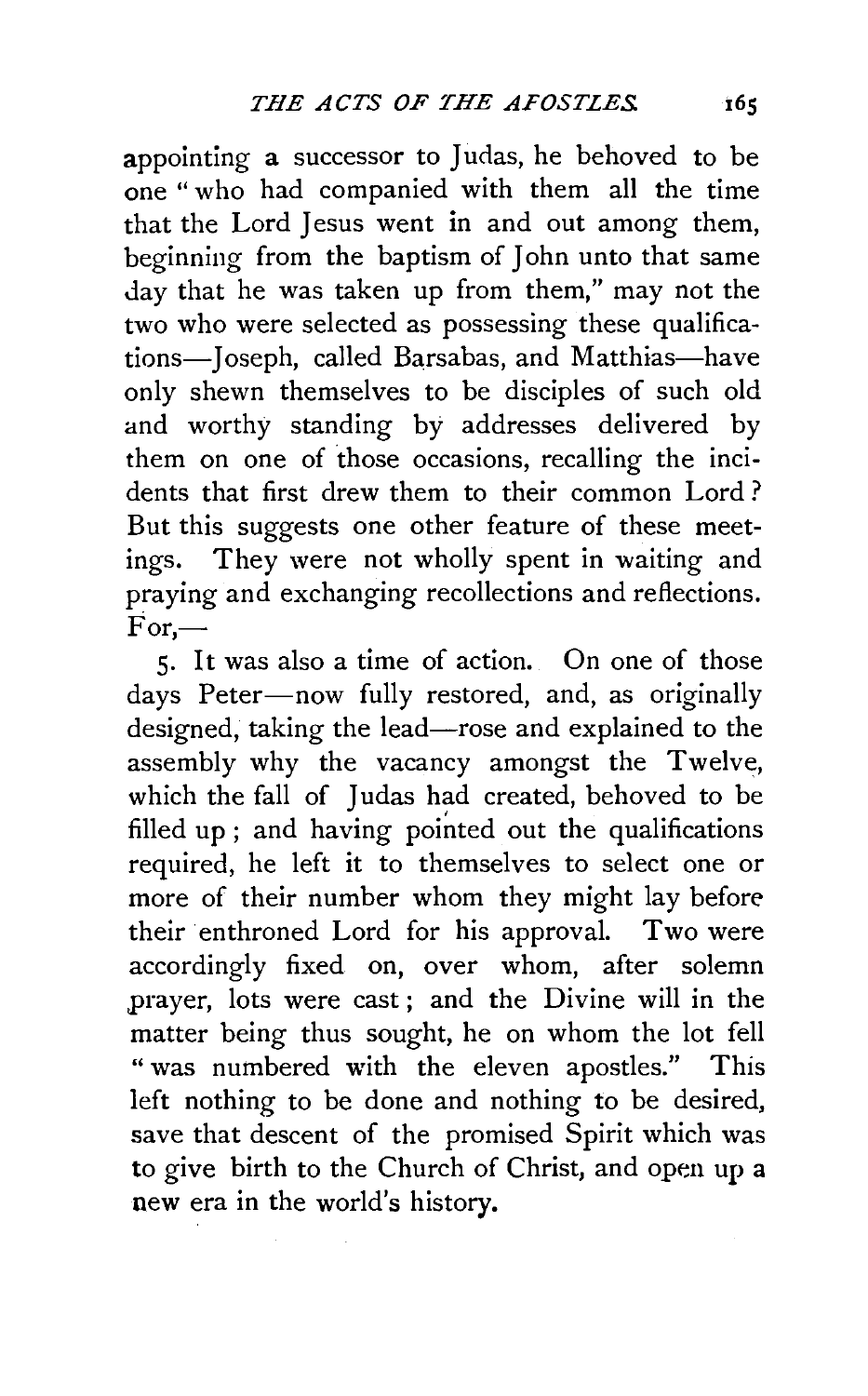appointing a successor to Judas, he behoved to be one" who had companied with them all the time that the Lord Jesus went in and out among them, beginning from the baptism of John unto that same day that he was taken up from them," may not the two who were selected as possessing these qualifications-Joseph, called Barsabas, and Matthias-have only shewn themselves to be disciples of such old and worthy standing by addresses delivered by them on one of those occasions, recalling the incidents that first drew them to their common Lord ? But this suggests one other feature of these meetings. They were not wholly spent in waiting and praying and exchanging recollections and reflections.  $\dot{For}$ —

5· It was also a time of action. On one of those days Peter-now fully restored, and, as originally designed, taking the lead-rose and explained to the assembly why the vacancy amongst the Twelve, which the fall of Judas had created, behoved to be filled up; and having pointed out the qualifications required, he left it to themselves to select one or more of their number whom they might lay before their enthroned Lord for his approval. Two were accordingly fixed on, over whom, after solemn ,prayer, lots were cast ; and the Divine will in the matter being thus sought, he on whom the lot fell " was numbered with the eleven apostles." This left nothing to be done and nothing to be desired, save that descent of the promised Spirit which was to give birth to the Church of Christ, and open up a new era in the world's history.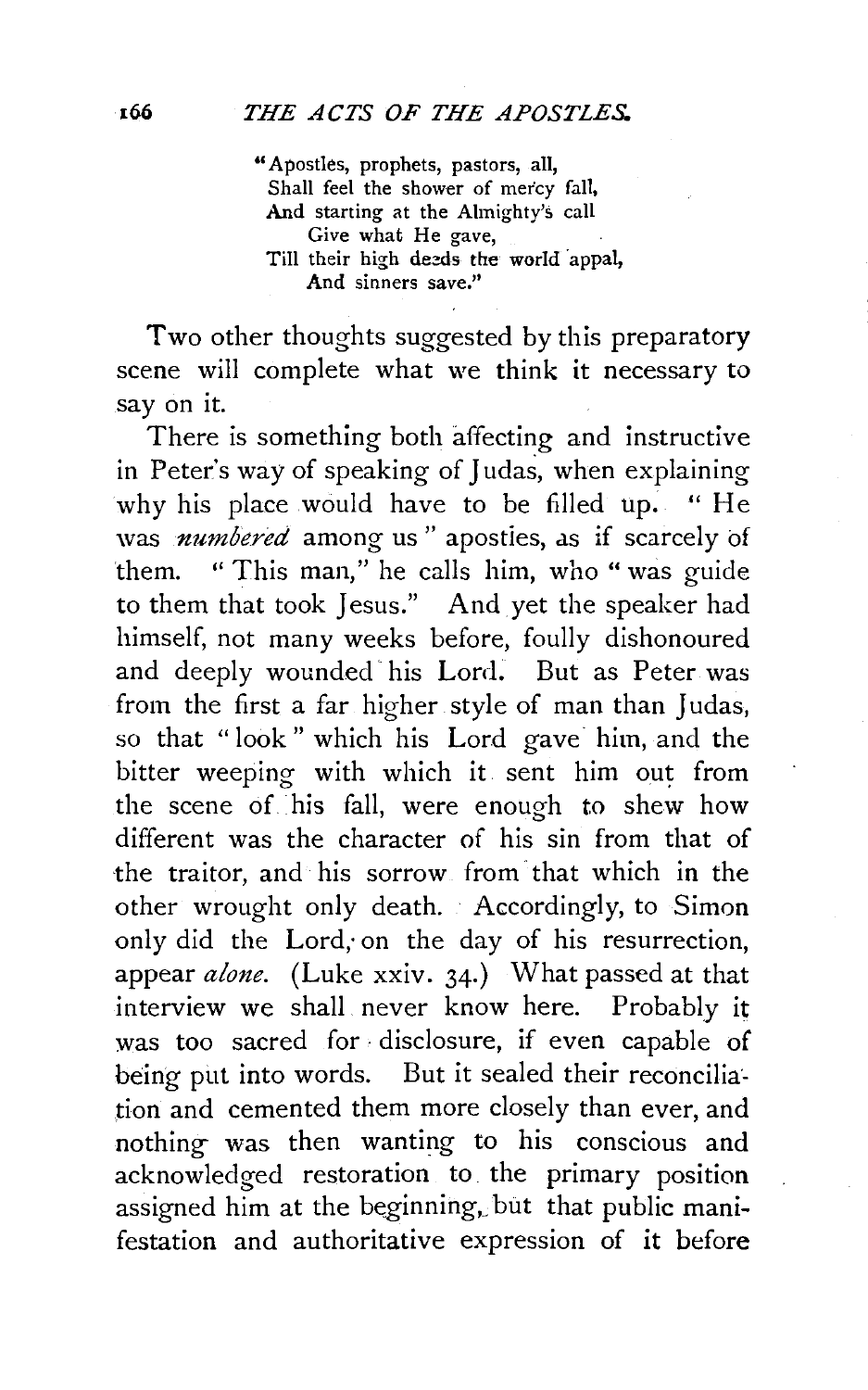"Apostles, prophets, pastors, all, Shall feel the shower of mercy fall, And starting at the Almighty's call *Give* what He gave, Till their high deeds the world appal, And sinners save."

Two other thoughts suggested by this preparatory scene will complete what we think it necessary to say on it.

There is something both affecting and instructive in Peter's way of speaking of Judas, when explaining why his place would have to be filled up. "He was *numbered* among us" apostles, as if scarcely of them. "This man," he calls him, who "was guide to them that took Jesus." And yet the speaker had himself, not many weeks before, foully dishonoured and deeply wounded his Lord. But as Peter was from the first a far higher style of man than Judas, so that "look" which his Lord gave him, and the bitter weeping with which it sent him out from the scene of his fall, were enough to shew how different was the character of his sin from that of the traitor, and his sorrow from that which in the other wrought only death. Accordingly, to Simon only did the Lord, on the day of his resurrection, appear *alone.* (Luke xxiv. 34.) What passed at that interview we shall never know here. Probably it was too sacred for· disclosure, if even capable of being put into words. But it sealed their reconciliation and cemented them more closely than ever, and nothing was then wanting to his conscious and acknowledged restoration to. the primary position assigned him at the beginning, but that public manifestation and authoritative expression of **it** before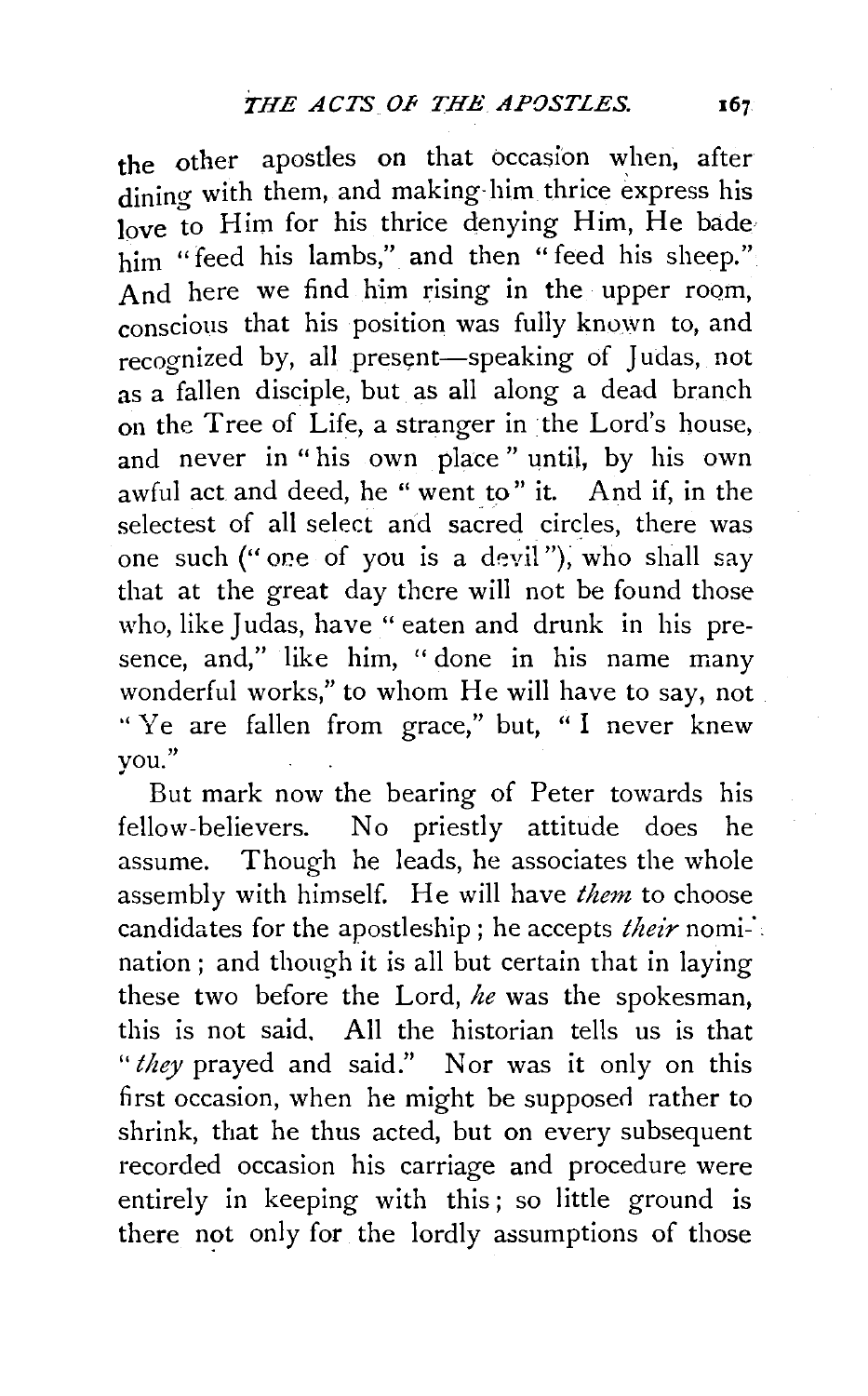the other apostles on that occasion when, after dining with them, and making-him thrice express his love to Him for his thrice denying Him, He bade him "feed his lambs," and then "feed his sheep." And here we find him rising in the upper room, conscious that his position was fully known to, and recognized by, all present-speaking of Judas, not as a fallen disciple, but as all along a dead branch on the Tree of Life, a stranger in the Lord's house, and never in "his own place" until, by his own awful act and deed, he " went to" it. And if, in the selectest of all select and sacred circles, there was one such ("one of you is a devil"), who shall say that at the great day there will not be found those who, like Judas, have "eaten and drunk in his presence, and," like him, " done in his name many wonderful works," to whom He will have to say, not ''Ye are fallen from grace," but, "I never knew you."

But mark now the bearing of Peter towards his fellow-believers. No priestly attitude does he assume. Though he leads, he associates the whole assembly with himself. He will have *them* to choose candidates for the apostleship; he accepts *their* nomi-·. nation ; and though it is all but certain that in laying these two before the Lord, *he* was the spokesman, this is not said. All the historian tells us is that *"they* prayed and said." Nor was it only on this first occasion, when he might be supposed rather to shrink, that he thus acted, but on every subsequent recorded occasion his carriage and procedure were entirely in keeping with this ; so little ground is there not only for the lordly assumptions of those